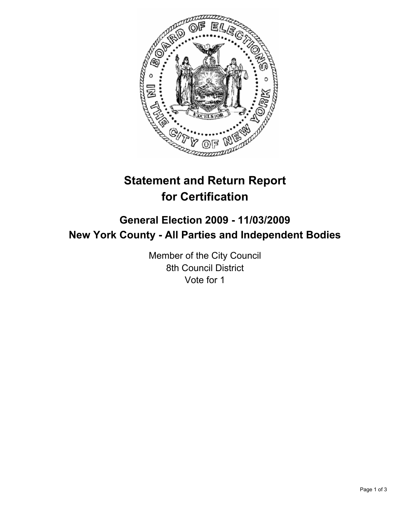

# **Statement and Return Report for Certification**

# **General Election 2009 - 11/03/2009 New York County - All Parties and Independent Bodies**

Member of the City Council 8th Council District Vote for 1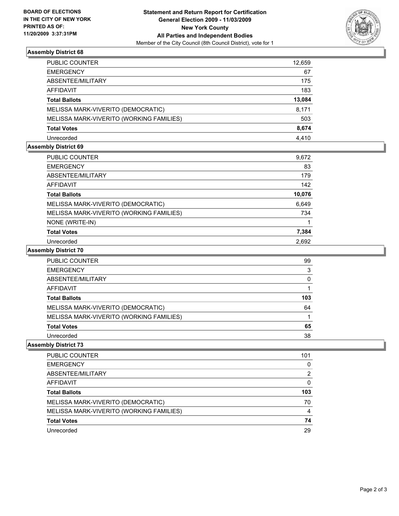

#### **Assembly District 68**

| <b>PUBLIC COUNTER</b>                    | 12,659 |
|------------------------------------------|--------|
| <b>EMERGENCY</b>                         | 67     |
| ABSENTEE/MILITARY                        | 175    |
| AFFIDAVIT                                | 183    |
| <b>Total Ballots</b>                     | 13,084 |
| MELISSA MARK-VIVERITO (DEMOCRATIC)       | 8,171  |
| MELISSA MARK-VIVERITO (WORKING FAMILIES) | 503    |
| <b>Total Votes</b>                       | 8,674  |
| Unrecorded                               | 4.410  |

## **Assembly District 69**

| PUBLIC COUNTER                           | 9,672  |
|------------------------------------------|--------|
| <b>EMERGENCY</b>                         | 83     |
| ABSENTEE/MILITARY                        | 179    |
| AFFIDAVIT                                | 142    |
| <b>Total Ballots</b>                     | 10,076 |
| MELISSA MARK-VIVERITO (DEMOCRATIC)       | 6,649  |
| MELISSA MARK-VIVERITO (WORKING FAMILIES) | 734    |
| NONE (WRITE-IN)                          |        |
| <b>Total Votes</b>                       | 7,384  |
| Unrecorded                               | 2,692  |

#### **Assembly District 70**

| PUBLIC COUNTER                           | 99  |
|------------------------------------------|-----|
| <b>EMERGENCY</b>                         | 3   |
| ABSENTEE/MILITARY                        | 0   |
| AFFIDAVIT                                |     |
| <b>Total Ballots</b>                     | 103 |
| MELISSA MARK-VIVERITO (DEMOCRATIC)       | 64  |
| MELISSA MARK-VIVERITO (WORKING FAMILIES) |     |
| <b>Total Votes</b>                       | 65  |
| Unrecorded                               | 38  |

# **Assembly District 73**

| <b>PUBLIC COUNTER</b>                    | 101 |
|------------------------------------------|-----|
| <b>EMERGENCY</b>                         | 0   |
| ABSENTEE/MILITARY                        | 2   |
| AFFIDAVIT                                | 0   |
| <b>Total Ballots</b>                     | 103 |
| MELISSA MARK-VIVERITO (DEMOCRATIC)       | 70  |
| MELISSA MARK-VIVERITO (WORKING FAMILIES) | 4   |
| <b>Total Votes</b>                       | 74  |
| Unrecorded                               | 29  |